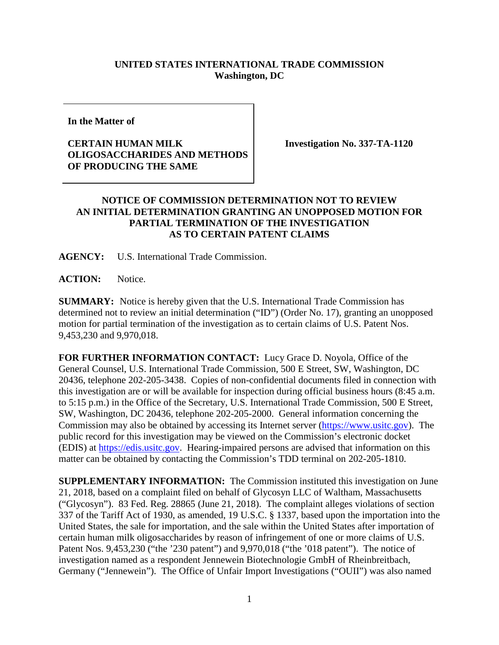## **UNITED STATES INTERNATIONAL TRADE COMMISSION Washington, DC**

**In the Matter of**

## **CERTAIN HUMAN MILK OLIGOSACCHARIDES AND METHODS OF PRODUCING THE SAME**

**Investigation No. 337-TA-1120**

## **NOTICE OF COMMISSION DETERMINATION NOT TO REVIEW AN INITIAL DETERMINATION GRANTING AN UNOPPOSED MOTION FOR PARTIAL TERMINATION OF THE INVESTIGATION AS TO CERTAIN PATENT CLAIMS**

**AGENCY:** U.S. International Trade Commission.

**ACTION:** Notice.

**SUMMARY:** Notice is hereby given that the U.S. International Trade Commission has determined not to review an initial determination ("ID") (Order No. 17), granting an unopposed motion for partial termination of the investigation as to certain claims of U.S. Patent Nos. 9,453,230 and 9,970,018.

**FOR FURTHER INFORMATION CONTACT:** Lucy Grace D. Noyola, Office of the General Counsel, U.S. International Trade Commission, 500 E Street, SW, Washington, DC 20436, telephone 202-205-3438. Copies of non-confidential documents filed in connection with this investigation are or will be available for inspection during official business hours (8:45 a.m. to 5:15 p.m.) in the Office of the Secretary, U.S. International Trade Commission, 500 E Street, SW, Washington, DC 20436, telephone 202-205-2000. General information concerning the Commission may also be obtained by accessing its Internet server [\(https://www.usitc.gov\)](https://www.usitc.gov/). The public record for this investigation may be viewed on the Commission's electronic docket (EDIS) at [https://edis.usitc.gov.](https://edis.usitc.gov/) Hearing-impaired persons are advised that information on this matter can be obtained by contacting the Commission's TDD terminal on 202-205-1810.

**SUPPLEMENTARY INFORMATION:** The Commission instituted this investigation on June 21, 2018, based on a complaint filed on behalf of Glycosyn LLC of Waltham, Massachusetts ("Glycosyn"). 83 Fed. Reg. 28865 (June 21, 2018). The complaint alleges violations of section 337 of the Tariff Act of 1930, as amended, 19 U.S.C. § 1337, based upon the importation into the United States, the sale for importation, and the sale within the United States after importation of certain human milk oligosaccharides by reason of infringement of one or more claims of U.S. Patent Nos. 9,453,230 ("the '230 patent") and 9,970,018 ("the '018 patent"). The notice of investigation named as a respondent Jennewein Biotechnologie GmbH of Rheinbreitbach, Germany ("Jennewein"). The Office of Unfair Import Investigations ("OUII") was also named